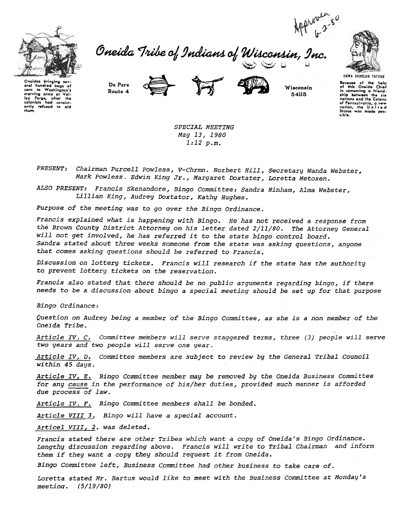

Oneida Tribe of Indians of Wisconsin, ~"'~;U i..!



Oneidas bringing sev-<br>eral hundred bags of eral hundred bags of<br>corn to Washington's starving army at Val. Igy Forge, after the<br>colonists had consistently refused to aid<br>them.

De Pere Route 4



Wisconsin 54115



SPECIAL MEETING May 13, 1980 1:12 p.m.

PRESENT: Chairman Purcell Powless, V-Chrmn. Norbert Hill, Secretary Wanda Webster, Mark Powless. Edwin King Jr., Margaret Doxtater, Loretta Metoxen.

ALSO PRESENT: Francis Skenandore, Bingo Committee: Sandra Ninham, Alma Webster, Lillian King, Audrey Doxtator, Kathy Hughes.

Purpose of the meeting was to go over the Bingo Ordinance.

Francis explained what is happening with Bingo. He has not received a response from the Brown County District Attorney on his letter dated 2/11/80. The Attorney General will not get involved, he has referred it to the state bingo control board. Sandra stated about three weeks someone from the state was asking questions, anyone that comes asking questions should be referred to Francis.

Discussion on lottery tickets. Francis will research if the state has the authority to prevent lottery tickets on the reservation.

Francis also stated that there should be no public arguments regarding bingo, if there needs to be a discussion about bingo a special meeting should be set up for that purpose

Bingo Ordinance:

Question on Audrey being a member of the Bingo Committee, as she is a non member of the Oneida Tribe.

Article IV, C. Committee members will serve staggered terms, three (3) people will serve two years and two people will serve one year.

 $Article IV$ , D, Committee members are subject to review by the General Tribal Council within 45 days.

Article IV, E. Bingo Committee member may be removed by the Oneida Business Committee for any cause in the performance of his/her duties, provided such manner is afforded due process of law.

Article IV. F. Bingo Committee members shall be bonded.

Article VIII 3. Bingo will have a special account.

Articel VIII, 2. was deleted.

Francis stated there are other Tribes which want a copy of Oneida's Bingo Ordinance. Lengthy discussion regarding above. Francis will write to Tribal Chairman and inform them if they want a copy they should request it from Oneida.

Bingo Committee left, Business Cpmmittee had other business to take care of.

Loretta stated Mr. Bartus would like to meet with the Business Committee at Monday's meetinq. (5/19/80)